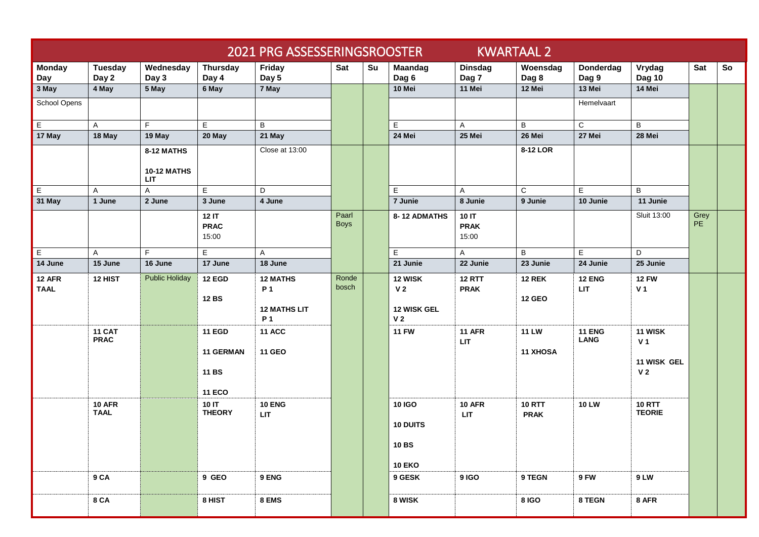| <b>KWARTAAL 2</b><br>2021 PRG ASSESSERINGSROOSTER |                              |                                  |                                                                    |                                                                  |                      |    |                                                                   |                               |                                 |                              |                                                            |                   |    |
|---------------------------------------------------|------------------------------|----------------------------------|--------------------------------------------------------------------|------------------------------------------------------------------|----------------------|----|-------------------------------------------------------------------|-------------------------------|---------------------------------|------------------------------|------------------------------------------------------------|-------------------|----|
| <b>Monday</b><br>Day                              | Tuesday<br>Day 2             | Wednesday<br>Day 3               | Thursday<br>Day 4                                                  | Friday<br>Day 5                                                  | Sat                  | Su | <b>Maandag</b><br>Dag 6                                           | <b>Dinsdag</b><br>Dag 7       | Woensdag<br>Dag 8               | Donderdag<br>Dag 9           | Vrydag<br><b>Dag 10</b>                                    | Sat               | So |
| 3 May                                             | 4 May                        | 5 May                            | 6 May                                                              | 7 May                                                            |                      |    | 10 Mei                                                            | 11 Mei                        | 12 Mei                          | 13 Mei                       | 14 Mei                                                     |                   |    |
| School Opens                                      |                              |                                  |                                                                    |                                                                  |                      |    |                                                                   |                               |                                 | Hemelvaart                   |                                                            |                   |    |
| E                                                 | A                            | F.                               | E                                                                  | B                                                                |                      |    | E                                                                 | A                             | B                               | C                            | B                                                          |                   |    |
| 17 May                                            | 18 May                       | 19 May                           | 20 May                                                             | 21 May                                                           |                      |    | 24 Mei                                                            | 25 Mei                        | 26 Mei                          | 27 Mei                       | 28 Mei                                                     |                   |    |
|                                                   |                              | 8-12 MATHS                       |                                                                    | Close at 13:00                                                   |                      |    |                                                                   |                               | 8-12 LOR                        |                              |                                                            |                   |    |
|                                                   |                              | <b>10-12 MATHS</b><br><b>LIT</b> |                                                                    |                                                                  |                      |    |                                                                   |                               |                                 |                              |                                                            |                   |    |
| $\overline{E}$                                    | A                            | A                                | E                                                                  | D                                                                |                      |    | E                                                                 | A                             | $\mathsf{C}$                    | E.                           | B                                                          |                   |    |
| 31 May                                            | 1 June                       | 2 June                           | 3 June                                                             | 4 June                                                           |                      |    | 7 Junie                                                           | 8 Junie                       | 9 Junie                         | 10 Junie                     | 11 Junie                                                   |                   |    |
|                                                   |                              |                                  | 12 IT<br><b>PRAC</b><br>15:00                                      |                                                                  | Paarl<br><b>Boys</b> |    | 8-12 ADMATHS                                                      | 10 IT<br><b>PRAK</b><br>15:00 |                                 |                              | Sluit 13:00                                                | Grey<br><b>PE</b> |    |
| E                                                 | A                            | F.                               | E                                                                  | A                                                                |                      |    | $\mathsf E$                                                       | $\mathsf{A}$                  | B                               | E.                           | D                                                          |                   |    |
| 14 June                                           | 15 June                      | 16 June                          | 17 June                                                            | 18 June                                                          |                      |    | 21 Junie                                                          | 22 Junie                      | 23 Junie                        | 24 Junie                     | 25 Junie                                                   |                   |    |
| 12 AFR<br><b>TAAL</b>                             | 12 HIST                      | <b>Public Holiday</b>            | <b>12 EGD</b><br><b>12 BS</b>                                      | <b>12 MATHS</b><br><b>P1</b><br><b>12 MATHS LIT</b><br><b>P1</b> | Ronde<br>bosch       |    | 12 WISK<br>V <sub>2</sub><br><b>12 WISK GEL</b><br>V <sub>2</sub> | <b>12 RTT</b><br><b>PRAK</b>  | <b>12 REK</b><br><b>12 GEO</b>  | <b>12 ENG</b><br><b>LIT</b>  | <b>12 FW</b><br>V <sub>1</sub>                             |                   |    |
|                                                   | <b>11 CAT</b><br><b>PRAC</b> |                                  | <b>11 EGD</b><br><b>11 GERMAN</b><br><b>11 BS</b><br><b>11 ECO</b> | <b>11 ACC</b><br><b>11 GEO</b>                                   |                      |    | <b>11 FW</b>                                                      | <b>11 AFR</b><br><b>LIT</b>   | <b>11 LW</b><br><b>11 XHOSA</b> | <b>11 ENG</b><br><b>LANG</b> | 11 WISK<br>V <sub>1</sub><br>11 WISK GEL<br>V <sub>2</sub> |                   |    |
|                                                   | <b>10 AFR</b><br><b>TAAL</b> |                                  | 10 IT<br><b>THEORY</b>                                             | <b>10 ENG</b><br>LIT                                             |                      |    | <b>10 IGO</b><br><b>10 DUITS</b><br><b>10 BS</b><br><b>10 EKO</b> | <b>10 AFR</b><br><b>LIT</b>   | <b>10 RTT</b><br><b>PRAK</b>    | <b>10 LW</b>                 | <b>10 RTT</b><br><b>TEORIE</b>                             |                   |    |
|                                                   | 9 CA                         |                                  | 9 GEO                                                              | 9 ENG                                                            |                      |    | 9 GESK                                                            | 9 IGO                         | 9 TEGN                          | 9 FW                         | <b>9 LW</b>                                                |                   |    |
|                                                   | 8 CA                         |                                  | 8 HIST                                                             | 8 EMS                                                            |                      |    | 8 WISK                                                            |                               | <b>8 IGO</b>                    | 8 TEGN                       | 8 AFR                                                      |                   |    |